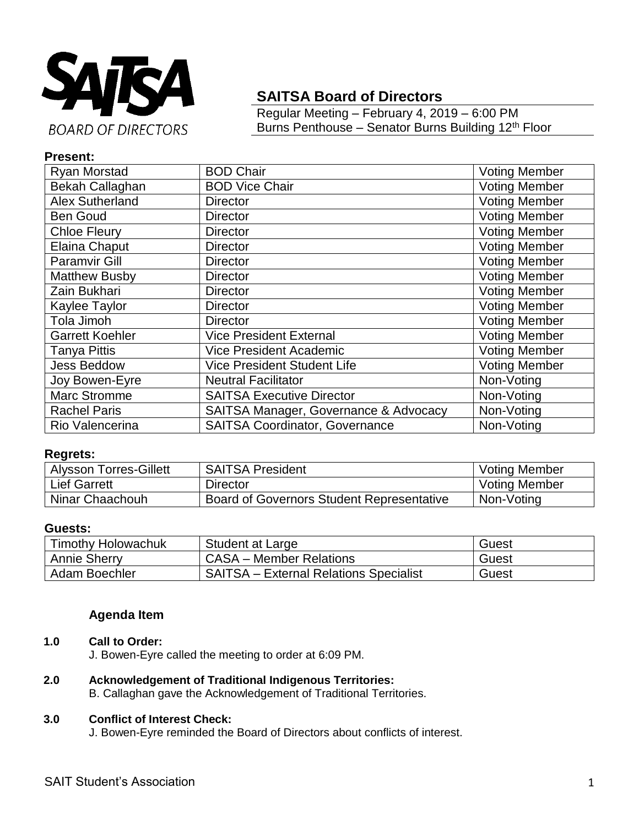

# **SAITSA Board of Directors**

Regular Meeting – February 4, 2019 – 6:00 PM Burns Penthouse - Senator Burns Building 12<sup>th</sup> Floor

# **Present:**

| Ryan Morstad           | <b>BOD Chair</b>                      | <b>Voting Member</b> |
|------------------------|---------------------------------------|----------------------|
| Bekah Callaghan        | <b>BOD Vice Chair</b>                 | Voting Member        |
| <b>Alex Sutherland</b> | <b>Director</b>                       | <b>Voting Member</b> |
| <b>Ben Goud</b>        | <b>Director</b>                       | <b>Voting Member</b> |
| <b>Chloe Fleury</b>    | <b>Director</b>                       | <b>Voting Member</b> |
| Elaina Chaput          | <b>Director</b>                       | Voting Member        |
| <b>Paramvir Gill</b>   | <b>Director</b>                       | <b>Voting Member</b> |
| <b>Matthew Busby</b>   | <b>Director</b>                       | <b>Voting Member</b> |
| Zain Bukhari           | <b>Director</b>                       | <b>Voting Member</b> |
| Kaylee Taylor          | <b>Director</b>                       | <b>Voting Member</b> |
| Tola Jimoh             | <b>Director</b>                       | <b>Voting Member</b> |
| <b>Garrett Koehler</b> | <b>Vice President External</b>        | <b>Voting Member</b> |
| <b>Tanya Pittis</b>    | <b>Vice President Academic</b>        | <b>Voting Member</b> |
| <b>Jess Beddow</b>     | <b>Vice President Student Life</b>    | <b>Voting Member</b> |
| Joy Bowen-Eyre         | <b>Neutral Facilitator</b>            | Non-Voting           |
| <b>Marc Stromme</b>    | <b>SAITSA Executive Director</b>      | Non-Voting           |
| <b>Rachel Paris</b>    | SAITSA Manager, Governance & Advocacy | Non-Voting           |
| Rio Valencerina        | <b>SAITSA Coordinator, Governance</b> | Non-Voting           |

### **Regrets:**

| <b>Alysson Torres-Gillett</b> | <b>SAITSA President</b>                          | <b>Voting Member</b> |
|-------------------------------|--------------------------------------------------|----------------------|
| <b>Lief Garrett</b>           | Director                                         | <b>Voting Member</b> |
| Ninar Chaachouh               | <b>Board of Governors Student Representative</b> | Non-Voting           |

#### **Guests:**

| <b>Timothy Holowachuk</b> | Student at Large                              | Guest |
|---------------------------|-----------------------------------------------|-------|
| <b>Annie Sherry</b>       | CASA - Member Relations                       | Guest |
| Adam Boechler             | <b>SAITSA - External Relations Specialist</b> | Guest |

# **Agenda Item**

# **1.0 Call to Order:**

J. Bowen-Eyre called the meeting to order at 6:09 PM.

# **2.0 Acknowledgement of Traditional Indigenous Territories:**

B. Callaghan gave the Acknowledgement of Traditional Territories.

#### **3.0 Conflict of Interest Check:**

J. Bowen-Eyre reminded the Board of Directors about conflicts of interest.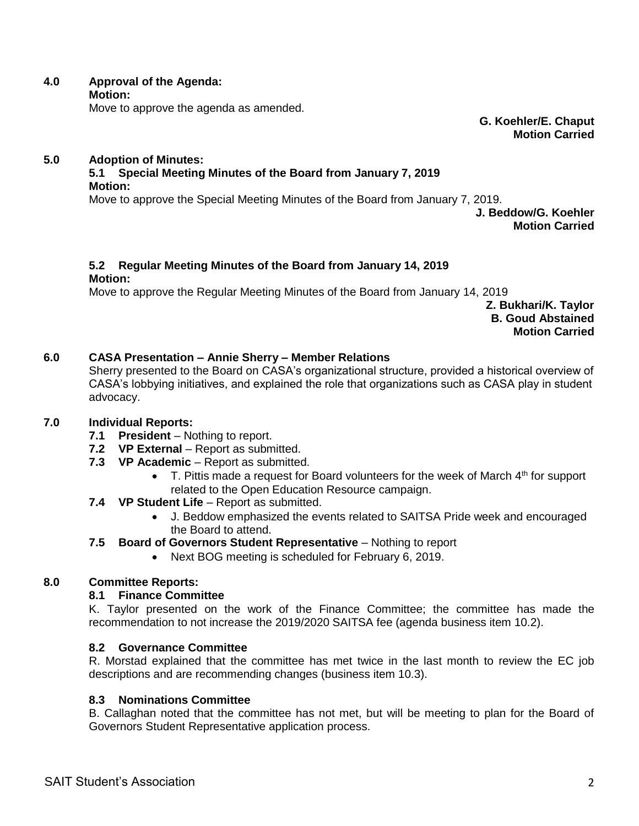**4.0 Approval of the Agenda: Motion:**

Move to approve the agenda as amended.

**G. Koehler/E. Chaput Motion Carried**

#### **5.0 Adoption of Minutes:**

#### **5.1 Special Meeting Minutes of the Board from January 7, 2019 Motion:**

Move to approve the Special Meeting Minutes of the Board from January 7, 2019.

**J. Beddow/G. Koehler Motion Carried**

# **5.2 Regular Meeting Minutes of the Board from January 14, 2019**

#### **Motion:**

Move to approve the Regular Meeting Minutes of the Board from January 14, 2019

**Z. Bukhari/K. Taylor B. Goud Abstained Motion Carried**

# **6.0 CASA Presentation – Annie Sherry – Member Relations**

Sherry presented to the Board on CASA's organizational structure, provided a historical overview of CASA's lobbying initiatives, and explained the role that organizations such as CASA play in student advocacy.

### **7.0 Individual Reports:**

- **7.1 President** Nothing to report.
- **7.2 VP External** Report as submitted.
- **7.3 VP Academic** Report as submitted.
	- $\bullet$  T. Pittis made a request for Board volunteers for the week of March  $4<sup>th</sup>$  for support related to the Open Education Resource campaign.
- **7.4 VP Student Life** Report as submitted.
	- J. Beddow emphasized the events related to SAITSA Pride week and encouraged the Board to attend.

# **7.5 Board of Governors Student Representative** – Nothing to report

Next BOG meeting is scheduled for February 6, 2019.

# **8.0 Committee Reports:**

### **8.1 Finance Committee**

K. Taylor presented on the work of the Finance Committee; the committee has made the recommendation to not increase the 2019/2020 SAITSA fee (agenda business item 10.2).

### **8.2 Governance Committee**

R. Morstad explained that the committee has met twice in the last month to review the EC job descriptions and are recommending changes (business item 10.3).

### **8.3 Nominations Committee**

B. Callaghan noted that the committee has not met, but will be meeting to plan for the Board of Governors Student Representative application process.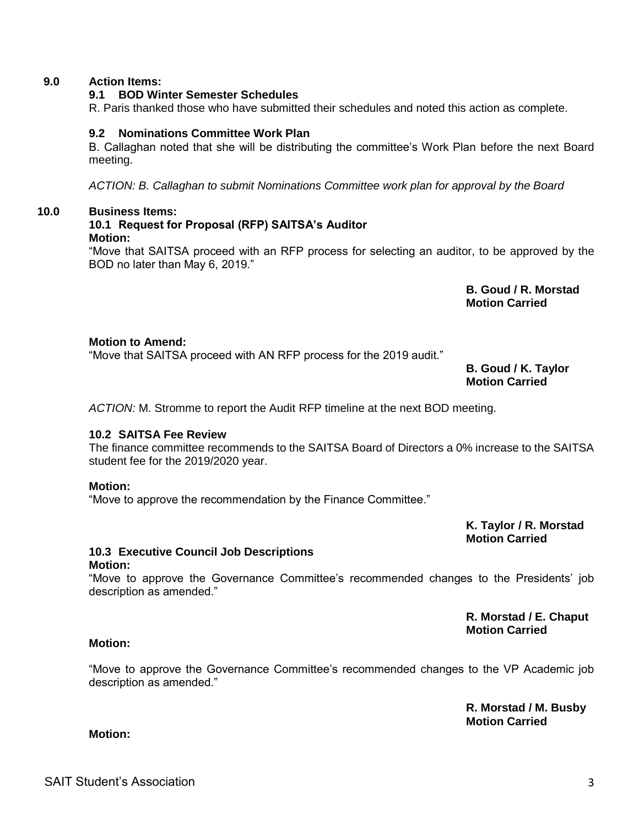SAIT Student's Association 3

#### **9.0 Action Items:**

#### **9.1 BOD Winter Semester Schedules**

R. Paris thanked those who have submitted their schedules and noted this action as complete.

### **9.2 Nominations Committee Work Plan**

B. Callaghan noted that she will be distributing the committee's Work Plan before the next Board meeting.

*ACTION: B. Callaghan to submit Nominations Committee work plan for approval by the Board*

#### **10.0 Business Items:**

# **10.1 Request for Proposal (RFP) SAITSA's Auditor**

#### **Motion:**

"Move that SAITSA proceed with an RFP process for selecting an auditor, to be approved by the BOD no later than May 6, 2019."

> **B. Goud / R. Morstad Motion Carried**

#### **Motion to Amend:**

"Move that SAITSA proceed with AN RFP process for the 2019 audit."

**B. Goud / K. Taylor Motion Carried**

*ACTION:* M. Stromme to report the Audit RFP timeline at the next BOD meeting.

### **10.2 SAITSA Fee Review**

The finance committee recommends to the SAITSA Board of Directors a 0% increase to the SAITSA student fee for the 2019/2020 year.

### **Motion:**

"Move to approve the recommendation by the Finance Committee."

**K. Taylor / R. Morstad Motion Carried**

# **10.3 Executive Council Job Descriptions**

#### **Motion:**

"Move to approve the Governance Committee's recommended changes to the Presidents' job description as amended."

> **R. Morstad / E. Chaput Motion Carried**

# **Motion:**

**Motion:**

"Move to approve the Governance Committee's recommended changes to the VP Academic job description as amended."

> **R. Morstad / M. Busby Motion Carried**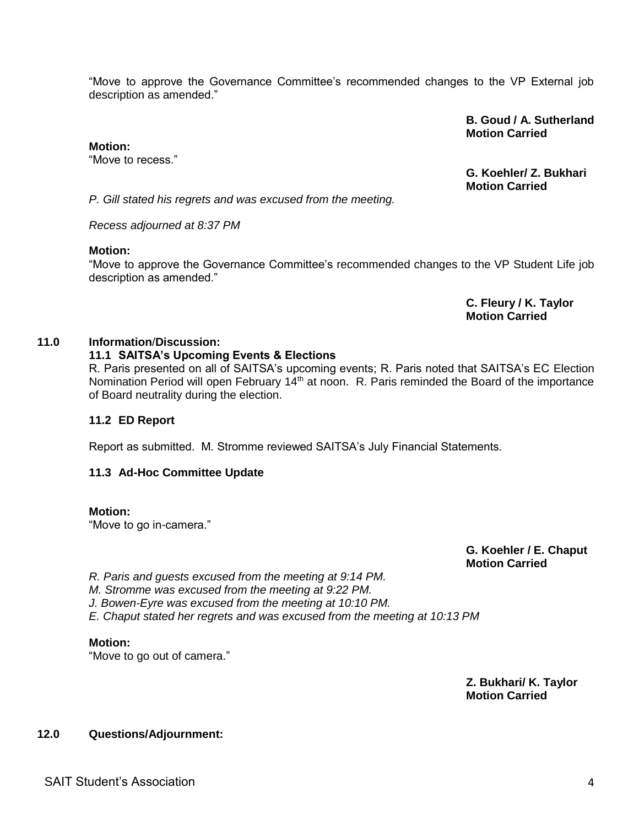"Move to approve the Governance Committee's recommended changes to the VP External job description as amended."

#### **B. Goud / A. Sutherland Motion Carried**

#### **Motion:**

"Move to recess."

**G. Koehler/ Z. Bukhari Motion Carried**

*P. Gill stated his regrets and was excused from the meeting.*

*Recess adjourned at 8:37 PM*

#### **Motion:**

"Move to approve the Governance Committee's recommended changes to the VP Student Life job description as amended."

> **C. Fleury / K. Taylor Motion Carried**

### **11.0 Information**/**Discussion:**

# **11.1 SAITSA's Upcoming Events & Elections**

R. Paris presented on all of SAITSA's upcoming events; R. Paris noted that SAITSA's EC Election Nomination Period will open February 14<sup>th</sup> at noon. R. Paris reminded the Board of the importance of Board neutrality during the election.

### **11.2 ED Report**

Report as submitted. M. Stromme reviewed SAITSA's July Financial Statements.

### **11.3 Ad-Hoc Committee Update**

### **Motion:**

"Move to go in-camera."

**G. Koehler / E. Chaput Motion Carried**

*R. Paris and guests excused from the meeting at 9:14 PM.*

*M. Stromme was excused from the meeting at 9:22 PM.*

*J. Bowen-Eyre was excused from the meeting at 10:10 PM.*

*E. Chaput stated her regrets and was excused from the meeting at 10:13 PM*

### **Motion:**

"Move to go out of camera."

**Z. Bukhari/ K. Taylor Motion Carried**

### **12.0 Questions/Adjournment:**